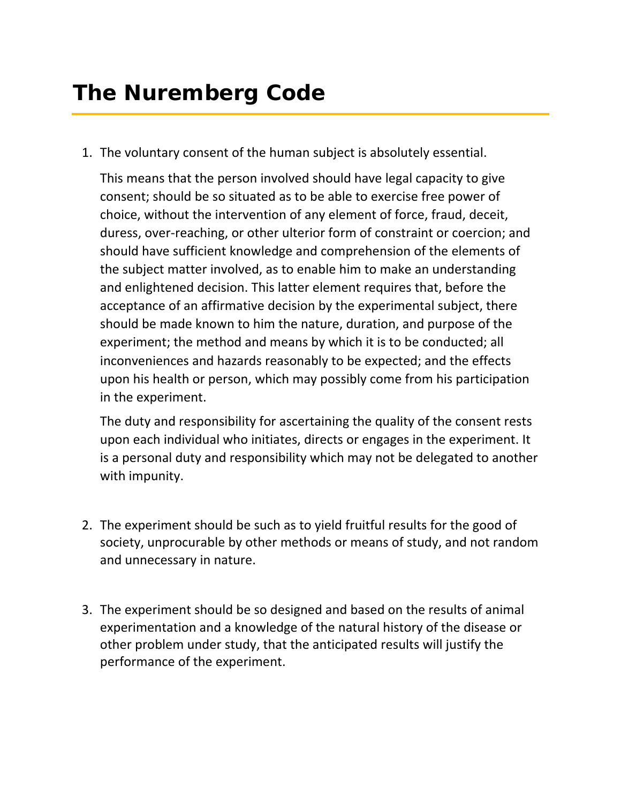1. The voluntary consent of the human subject is absolutely essential.

This means that the person involved should have legal capacity to give consent; should be so situated as to be able to exercise free power of choice, without the intervention of any element of force, fraud, deceit, duress, over‐reaching, or other ulterior form of constraint or coercion; and should have sufficient knowledge and comprehension of the elements of the subject matter involved, as to enable him to make an understanding and enlightened decision. This latter element requires that, before the acceptance of an affirmative decision by the experimental subject, there should be made known to him the nature, duration, and purpose of the experiment; the method and means by which it is to be conducted; all inconveniences and hazards reasonably to be expected; and the effects upon his health or person, which may possibly come from his participation in the experiment.

The duty and responsibility for ascertaining the quality of the consent rests upon each individual who initiates, directs or engages in the experiment. It is a personal duty and responsibility which may not be delegated to another with impunity.

- 2. The experiment should be such as to yield fruitful results for the good of society, unprocurable by other methods or means of study, and not random and unnecessary in nature.
- 3. The experiment should be so designed and based on the results of animal experimentation and a knowledge of the natural history of the disease or other problem under study, that the anticipated results will justify the performance of the experiment.